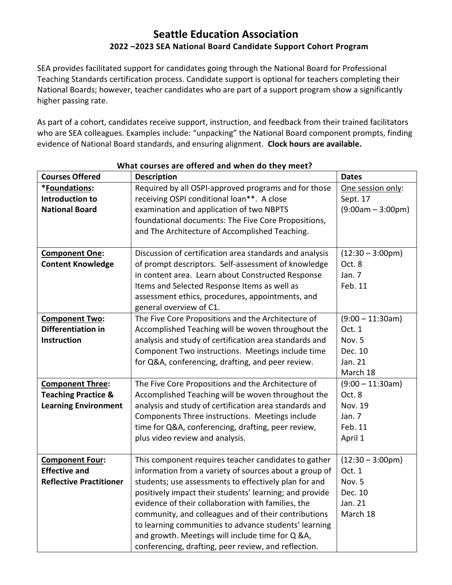# **Seattle Education Association 2022 –2023 SEA National Board Candidate Support Cohort Program**

SEA provides facilitated support for candidates going through the National Board for Professional Teaching Standards certification process. Candidate support is optional for teachers completing their National Boards; however, teacher candidates who are part of a support program show a significantly higher passing rate.

As part of a cohort, candidates receive support, instruction, and feedback from their trained facilitators who are SEA colleagues. Examples include: "unpacking" the National Board component prompts, finding evidence of National Board standards, and ensuring alignment. **Clock hours are available.**

| <b>Courses Offered</b>         | <b>Description</b>                                                          | <b>Dates</b>               |
|--------------------------------|-----------------------------------------------------------------------------|----------------------------|
| *Foundations:                  | Required by all OSPI-approved programs and for those                        | One session only:          |
| Introduction to                | receiving OSPI conditional loan**. A close                                  | Sept. 17                   |
| <b>National Board</b>          | examination and application of two NBPTS                                    | $(9:00am - 3:00pm)$        |
|                                | foundational documents: The Five Core Propositions,                         |                            |
|                                | and The Architecture of Accomplished Teaching.                              |                            |
|                                |                                                                             |                            |
| <b>Component One:</b>          | Discussion of certification area standards and analysis                     | $(12:30 - 3:00 \text{pm})$ |
| <b>Content Knowledge</b>       | of prompt descriptors. Self-assessment of knowledge                         | Oct. 8                     |
|                                | in content area. Learn about Constructed Response                           | Jan. 7                     |
|                                | Items and Selected Response Items as well as                                | Feb. 11                    |
|                                | assessment ethics, procedures, appointments, and<br>general overview of C1. |                            |
| <b>Component Two:</b>          | The Five Core Propositions and the Architecture of                          | $(9:00 - 11:30am)$         |
| Differentiation in             | Accomplished Teaching will be woven throughout the                          | Oct. 1                     |
| <b>Instruction</b>             | analysis and study of certification area standards and                      | Nov. 5                     |
|                                | Component Two instructions. Meetings include time                           | Dec. 10                    |
|                                | for Q&A, conferencing, drafting, and peer review.                           | Jan. 21                    |
|                                |                                                                             | March 18                   |
| <b>Component Three:</b>        | The Five Core Propositions and the Architecture of                          | $(9:00 - 11:30am)$         |
| <b>Teaching Practice &amp;</b> | Accomplished Teaching will be woven throughout the                          | Oct. 8                     |
| <b>Learning Environment</b>    | analysis and study of certification area standards and                      | Nov. 19                    |
|                                | Components Three instructions. Meetings include                             | Jan. 7                     |
|                                | time for Q&A, conferencing, drafting, peer review,                          | Feb. 11                    |
|                                | plus video review and analysis.                                             | April 1                    |
|                                |                                                                             |                            |
| <b>Component Four:</b>         | This component requires teacher candidates to gather                        | $(12:30 - 3:00 \text{pm})$ |
| <b>Effective and</b>           | information from a variety of sources about a group of                      | Oct. 1                     |
| <b>Reflective Practitioner</b> | students; use assessments to effectively plan for and                       | Nov. 5                     |
|                                | positively impact their students' learning; and provide                     | Dec. 10                    |
|                                | evidence of their collaboration with families, the                          | Jan. 21                    |
|                                | community, and colleagues and of their contributions                        | March 18                   |
|                                | to learning communities to advance students' learning                       |                            |
|                                | and growth. Meetings will include time for Q &A,                            |                            |
|                                | conferencing, drafting, peer review, and reflection.                        |                            |

### **What courses are offered and when do they meet?**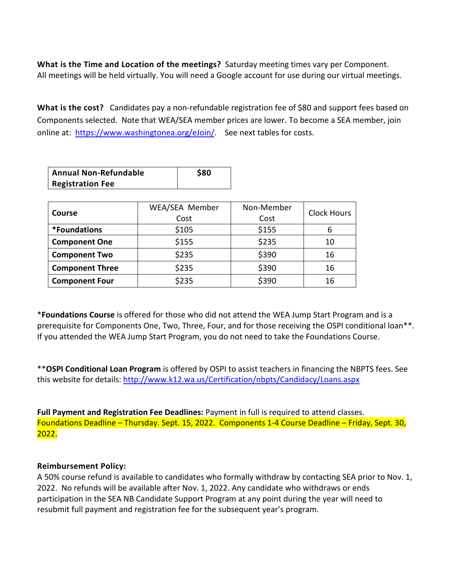What is the Time and Location of the meetings? Saturday meeting times vary per Component. All meetings will be held virtually. You will need a Google account for use during our virtual meetings.

**What is the cost?** Candidates pay a non-refundable registration fee of \$80 and support fees based on Components selected. Note that WEA/SEA member prices are lower. To become a SEA member, join online at: [https://www.washingtonea.org/eJoin/.](https://www.washingtonea.org/eJoin/) See next tables for costs.

| <b>Annual Non-Refundable</b> | \$80 |
|------------------------------|------|
| <b>Registration Fee</b>      |      |

| Course                 | WEA/SEA Member | Non-Member | <b>Clock Hours</b> |
|------------------------|----------------|------------|--------------------|
|                        | Cost           | Cost       |                    |
| *Foundations           | \$105          | \$155      | 6                  |
| <b>Component One</b>   | \$155          | \$235      | 10                 |
| <b>Component Two</b>   | \$235          | \$390      | 16                 |
| <b>Component Three</b> | \$235          | \$390      | 16                 |
| <b>Component Four</b>  | \$235          | \$390      | 16                 |

\***Foundations Course** is offered for those who did not attend the WEA Jump Start Program and is a prerequisite for Components One, Two, Three, Four, and for those receiving the OSPI conditional loan\*\*. If you attended the WEA Jump Start Program, you do not need to take the Foundations Course.

\*\***OSPI Conditional Loan Program** is offered by OSPI to assist teachers in financing the NBPTS fees. See this website for details:<http://www.k12.wa.us/Certification/nbpts/Candidacy/Loans.aspx>

**Full Payment and Registration Fee Deadlines:** Payment in full is required to attend classes. Foundations Deadline – Thursday. Sept. 15, 2022. Components 1-4 Course Deadline – Friday, Sept. 30, 2022.

### **Reimbursement Policy:**

A 50% course refund is available to candidates who formally withdraw by contacting SEA prior to Nov. 1, 2022. No refunds will be available after Nov. 1, 2022. Any candidate who withdraws or ends participation in the SEA NB Candidate Support Program at any point during the year will need to resubmit full payment and registration fee for the subsequent year's program.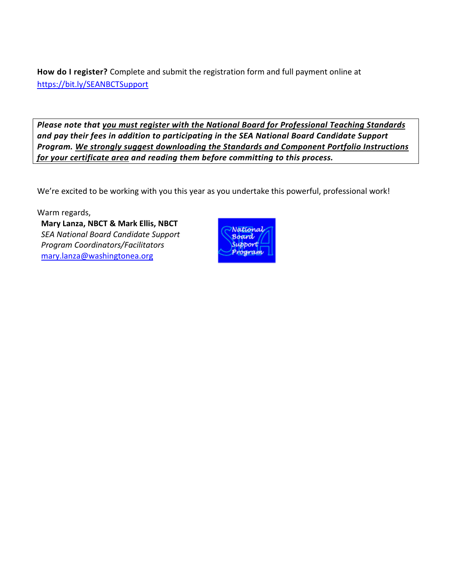**How do I register?** Complete and submit the registration form and full payment online at <https://bit.ly/SEANBCTSupport>

*Please note that you must register with the National Board for Professional Teaching Standards and pay their fees in addition to participating in the SEA National Board Candidate Support Program. We strongly suggest downloading the Standards and Component Portfolio Instructions for your certificate area and reading them before committing to this process.*

We're excited to be working with you this year as you undertake this powerful, professional work!

Warm regards, **Mary Lanza, NBCT & Mark Ellis, NBCT**  *SEA National Board Candidate Support Program Coordinators/Facilitators*  [mary.lanza@washingtonea.org](mailto:mary.lanza@washingtonea.org)

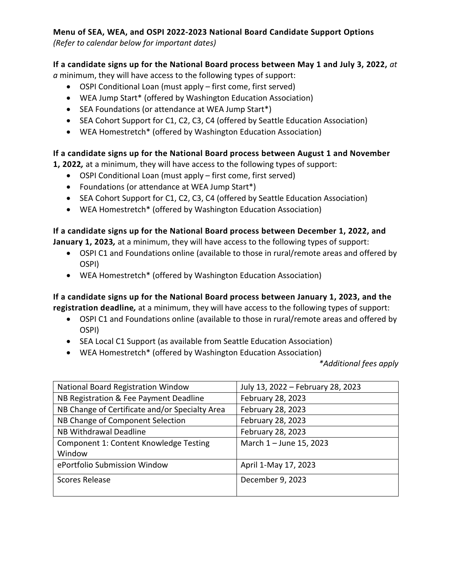## **Menu of SEA, WEA, and OSPI 2022-2023 National Board Candidate Support Options**

*(Refer to calendar below for important dates)*

## **If a candidate signs up for the National Board process between May 1 and July 3, 2022,** *at*

*a* minimum, they will have access to the following types of support:

- OSPI Conditional Loan (must apply first come, first served)
- WEA Jump Start\* (offered by Washington Education Association)
- SEA Foundations (or attendance at WEA Jump Start\*)
- SEA Cohort Support for C1, C2, C3, C4 (offered by Seattle Education Association)
- WEA Homestretch\* (offered by Washington Education Association)

## **If a candidate signs up for the National Board process between August 1 and November**

**1, 2022***,* at a minimum, they will have access to the following types of support:

- OSPI Conditional Loan (must apply first come, first served)
- Foundations (or attendance at WEA Jump Start\*)
- SEA Cohort Support for C1, C2, C3, C4 (offered by Seattle Education Association)
- WEA Homestretch\* (offered by Washington Education Association)

**If a candidate signs up for the National Board process between December 1, 2022, and January 1, 2023***,* at a minimum, they will have access to the following types of support:

- OSPI C1 and Foundations online (available to those in rural/remote areas and offered by OSPI)
- WEA Homestretch\* (offered by Washington Education Association)

**If a candidate signs up for the National Board process between January 1, 2023, and the registration deadline***,* at a minimum, they will have access to the following types of support:

- OSPI C1 and Foundations online (available to those in rural/remote areas and offered by OSPI)
- SEA Local C1 Support (as available from Seattle Education Association)
- WEA Homestretch\* (offered by Washington Education Association)

*\*Additional fees apply*

| National Board Registration Window             | July 13, 2022 - February 28, 2023 |
|------------------------------------------------|-----------------------------------|
| NB Registration & Fee Payment Deadline         | February 28, 2023                 |
| NB Change of Certificate and/or Specialty Area | February 28, 2023                 |
| NB Change of Component Selection               | February 28, 2023                 |
| NB Withdrawal Deadline                         | February 28, 2023                 |
| Component 1: Content Knowledge Testing         | March 1 - June 15, 2023           |
| Window                                         |                                   |
| ePortfolio Submission Window                   | April 1-May 17, 2023              |
| Scores Release                                 | December 9, 2023                  |
|                                                |                                   |